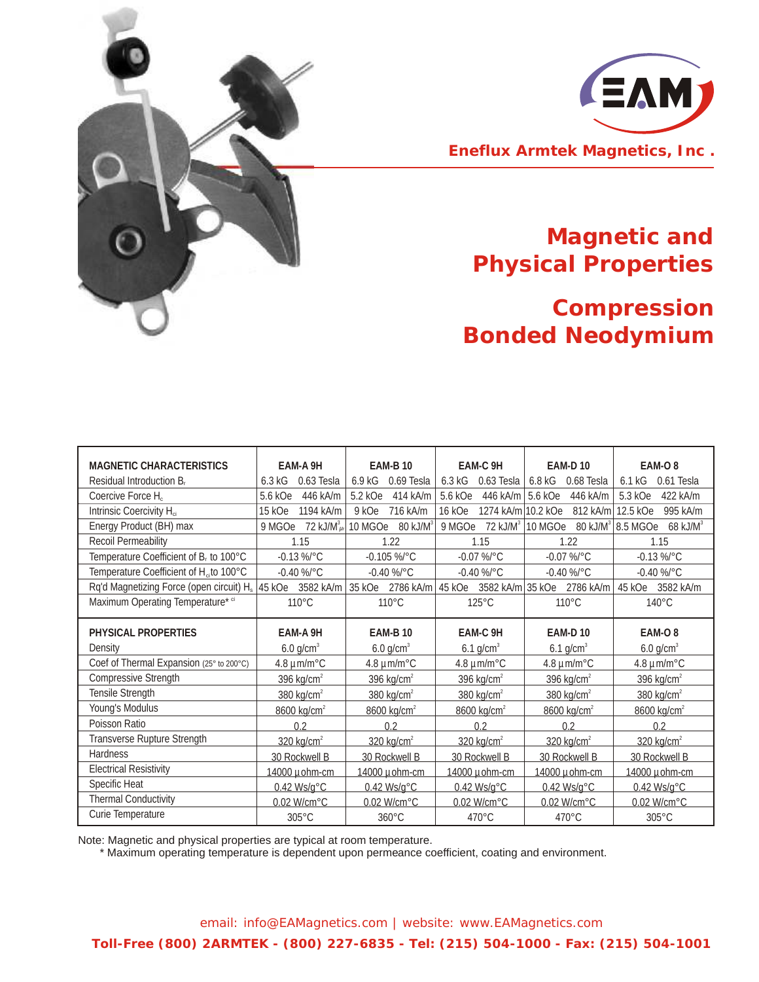



## **Magnetic and Physical Properties**

## **Compression Bonded Neodymium**

| <b>MAGNETIC CHARACTERISTICS</b>                     | EAM-A 9H                    | <b>EAM-B 10</b>                   | EAM-C 9H                     | <b>EAM-D10</b>                    | EAM-O <sub>8</sub>                               |
|-----------------------------------------------------|-----------------------------|-----------------------------------|------------------------------|-----------------------------------|--------------------------------------------------|
| Residual Introduction B <sub>r</sub>                | 6.3 kG<br>0.63 Tesla        | 6.9 kG<br>0.69 Tesla              | 6.3 kG<br>0.63 Tesla         | 6.8 kG<br>0.68 Tesla              | 6.1 kG<br>0.61 Tesla                             |
| Coercive Force H <sub>c</sub>                       | 5.6 kOe<br>446 kA/m         | 5.2 kOe<br>414 kA/m               | 446 kA/m<br>5.6 kOe          | 5.6 kOe<br>446 kA/m               | 5.3 kOe<br>422 kA/m                              |
| Intrinsic Coercivity H <sub>ci</sub>                | 15 kOe<br>1194 kA/m         | 716 kA/m<br>9 kOe                 | 1274 kA/m 10.2 kOe<br>16 kOe | 812 kA/m                          | 12.5 kOe<br>995 kA/m                             |
| Energy Product (BH) max                             | 72 kJ/ $M^3\mu r$<br>9 MGOe | 10 MGOe<br>$80$ kJ/M <sup>3</sup> | $72$ kJ/ $M3$<br>9 MGOe      | 10 MGOe<br>$80$ kJ/M <sup>3</sup> | $\frac{3}{8}$ 8.5 MGOe<br>$68$ kJ/M <sup>3</sup> |
| <b>Recoil Permeability</b>                          | 1.15                        | 1.22                              | 1.15                         | 1.22                              | 1.15                                             |
| Temperature Coefficient of B <sub>r</sub> to 100°C  | $-0.13\%$ °C                | $-0.105$ %/°C                     | $-0.07$ %/°C                 | $-0.07$ %/°C                      | $-0.13\%$ °C                                     |
| Temperature Coefficient of H <sub>ci</sub> to 100°C | $-0.40$ %/ $^{\circ}$ C     | $-0.40\%$ /°C                     | $-0.40\%$ /°C                | $-0.40$ %/°C                      | $-0.40\%$ °C                                     |
| Rq'd Magnetizing Force (open circuit) $H_s$ 45 kOe  | 3582 kA/m                   | 35 kOe 2786 kA/m                  | 45 kOe                       | 3582 kA/m 35 kOe 2786 kA/m        | 3582 kA/m<br>45 kOe                              |
| Maximum Operating Temperature* ci                   | 110°C                       | 110°C                             | $125^{\circ}$ C              | 110°C                             | 140°C                                            |
|                                                     |                             |                                   |                              |                                   |                                                  |
| PHYSICAL PROPERTIES                                 | EAM-A 9H                    | <b>EAM-B10</b>                    | EAM-C 9H                     | <b>EAM-D10</b>                    | EAM-O <sub>8</sub>                               |
| Density                                             | $6.0$ g/cm <sup>3</sup>     | $6.0$ g/cm <sup>3</sup>           | 6.1 $g/cm3$                  | 6.1 $g/cm3$                       | $6.0$ g/cm <sup>3</sup>                          |
| Coef of Thermal Expansion (25° to 200°C)            | $4.8 \mu m/m^{\circ}$ C     | $4.8 \mu m/m^{\circ}$ C           | $4.8 \mu m/m^{\circ}$ C      | $4.8 \mu m/m^{\circ}$ C           | $4.8 \mu m/m^{\circ}$ C                          |
| <b>Compressive Strength</b>                         | 396 kg/cm <sup>2</sup>      | 396 kg/cm <sup>2</sup>            | 396 kg/cm $2$                | 396 kg/c $m2$                     | 396 kg/cm <sup>2</sup>                           |
| Tensile Strength                                    | 380 kg/cm <sup>2</sup>      | $380$ kg/cm <sup>2</sup>          | $380$ kg/cm <sup>2</sup>     | $380$ kg/cm <sup>2</sup>          | $380$ kg/cm <sup>2</sup>                         |
| Young's Modulus                                     | 8600 kg/cm <sup>2</sup>     | 8600 kg/cm <sup>2</sup>           | 8600 kg/cm <sup>2</sup>      | 8600 kg/cm <sup>2</sup>           | 8600 kg/cm <sup>2</sup>                          |
| Poisson Ratio                                       | 0.2                         | 0.2                               | 0.2                          | 0.2                               | 0.2                                              |
| Transverse Rupture Strength                         | $320$ kg/cm <sup>2</sup>    | $320$ kg/cm <sup>2</sup>          | $320$ kg/cm <sup>2</sup>     | $320$ kg/cm <sup>2</sup>          | $320 \text{ kg/cm}^2$                            |
| <b>Hardness</b>                                     | 30 Rockwell B               | 30 Rockwell B                     | 30 Rockwell B                | 30 Rockwell B                     | 30 Rockwell B                                    |
| <b>Electrical Resistivity</b>                       | 14000 µohm-cm               | 14000 µohm-cm                     | 14000 µohm-cm                | 14000 µohm-cm                     | 14000 µohm-cm                                    |
| Specific Heat                                       | $0.42$ Ws/g $^{\circ}$ C    | $0.42$ Ws/g $^{\circ}$ C          | $0.42$ Ws/g $^{\circ}$ C     | $0.42$ Ws/g $^{\circ}$ C          | $0.42$ Ws/g $^{\circ}$ C                         |
| <b>Thermal Conductivity</b>                         | 0.02 W/cm°C                 | 0.02 W/cm°C                       | 0.02 W/cm°C                  | 0.02 W/cm°C                       | 0.02 W/cm°C                                      |
| Curie Temperature                                   | $305^{\circ}$ C             | 360°C                             | 470°C                        | $470^{\circ}$ C                   | 305°C                                            |

Note: Magnetic and physical properties are typical at room temperature.

\* Maximum operating temperature is dependent upon permeance coefficient, coating and environment.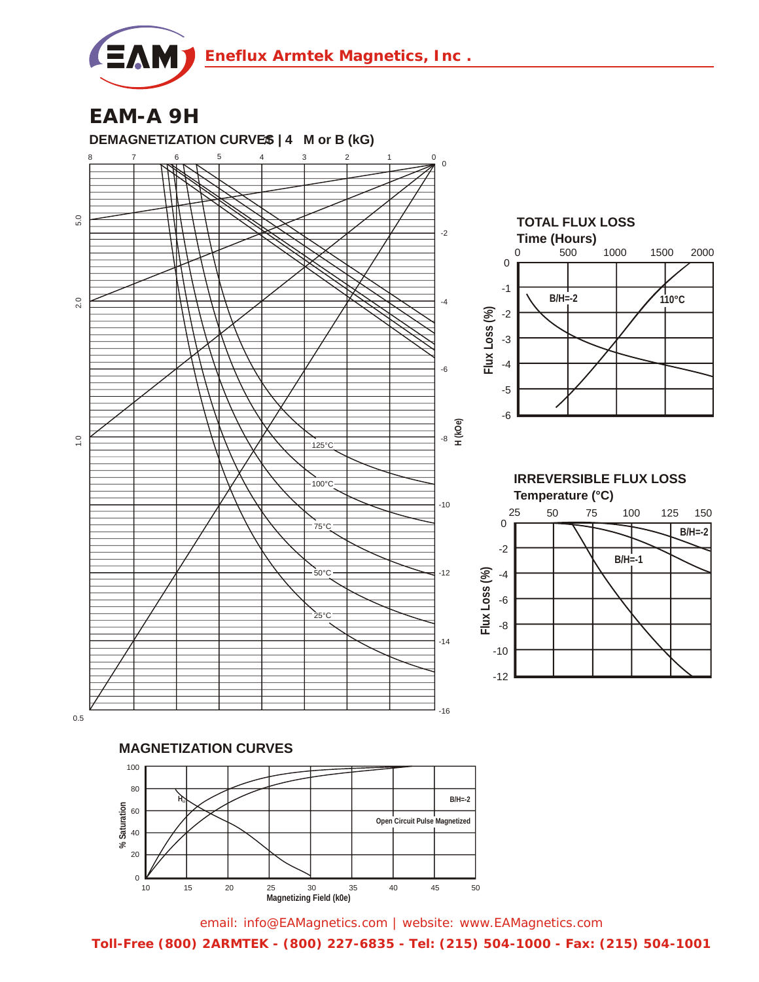

**EAM-A 9H DEMAGNETIZATION CURVES | 4 M or B (kG)** 0 8 7 6 5 4 3 2 1 0 5.0 1.0 2.0 5.0 -2  $2.0$ -4 -6 **H (kOe)** -8  $\frac{0}{1}$ 125°C  $-100^{\circ}$ C -10 75°C  $50^{\circ}$ C -12  $25^{\circ}$ C -14 -16



**Temperature (°C) IRREVERSIBLE FLUX LOSS**



0.5

**MAGNETIZATION CURVES**



email: info@EAMagnetics.com | website: www.EAMagnetics.com **Toll-Free (800) 2ARMTEK - (800) 227-6835 - Tel: (215) 504-1000 - Fax: (215) 504-1001**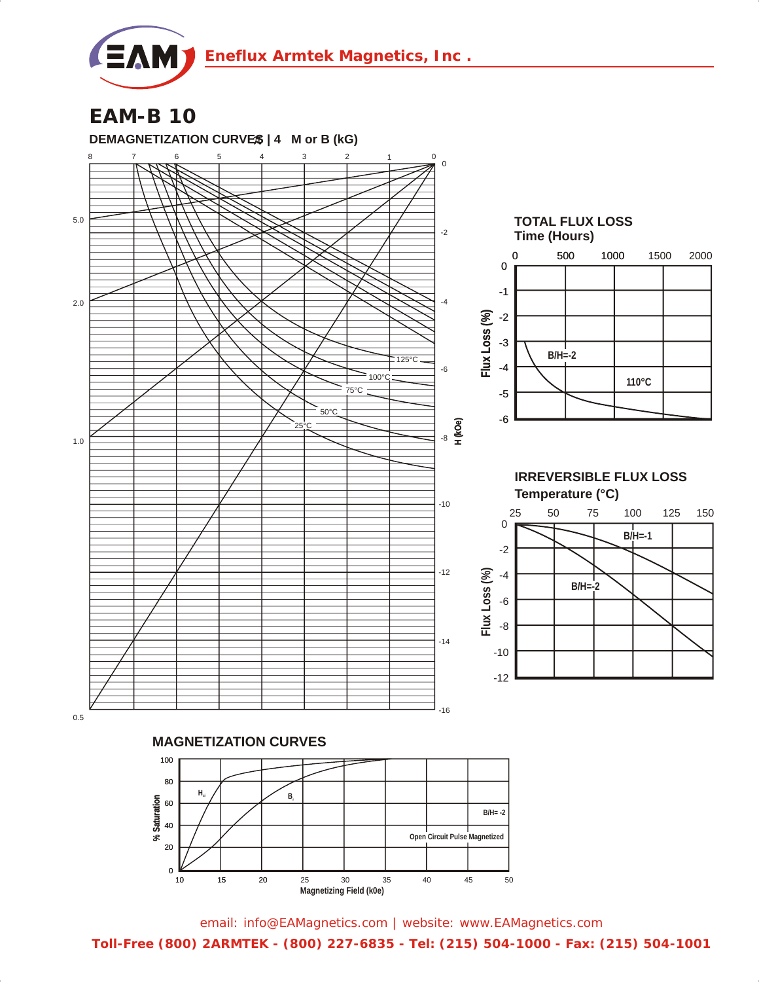

**EAM-B 10**



email: info@EAMagnetics.com | website: www.EAMagnetics.com

**Toll-Free (800) 2ARMTEK - (800) 227-6835 - Tel: (215) 504-1000 - Fax: (215) 504-1001**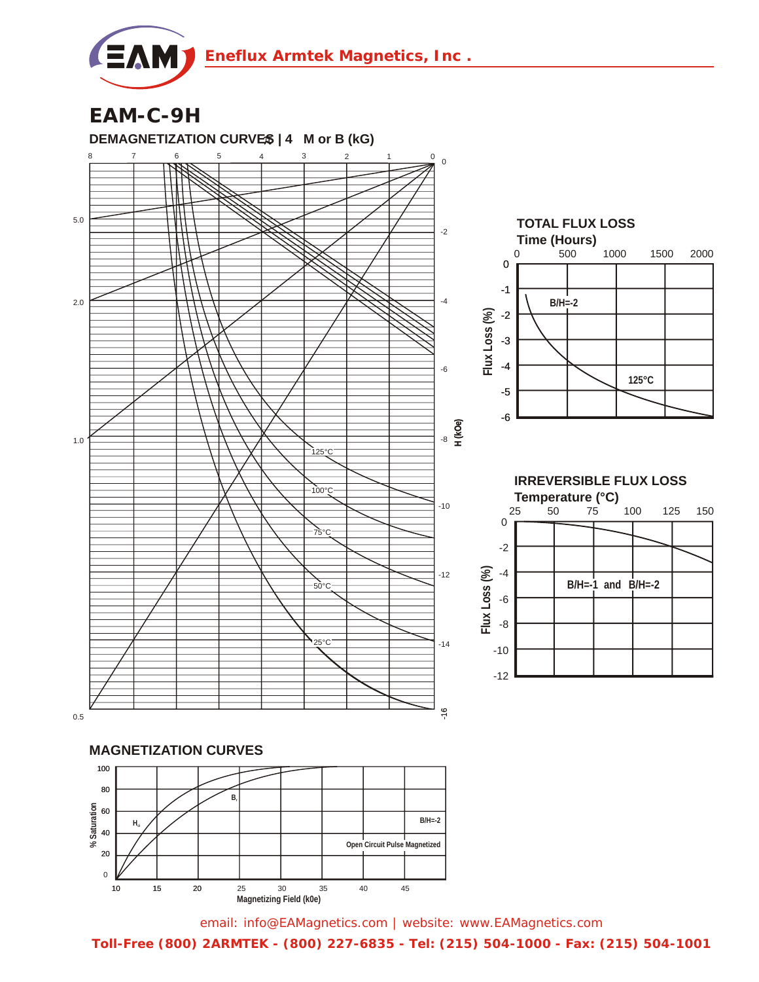

**EAM-C-9H**



**Toll-Free (800) 2ARMTEK - (800) 227-6835 - Tel: (215) 504-1000 - Fax: (215) 504-1001**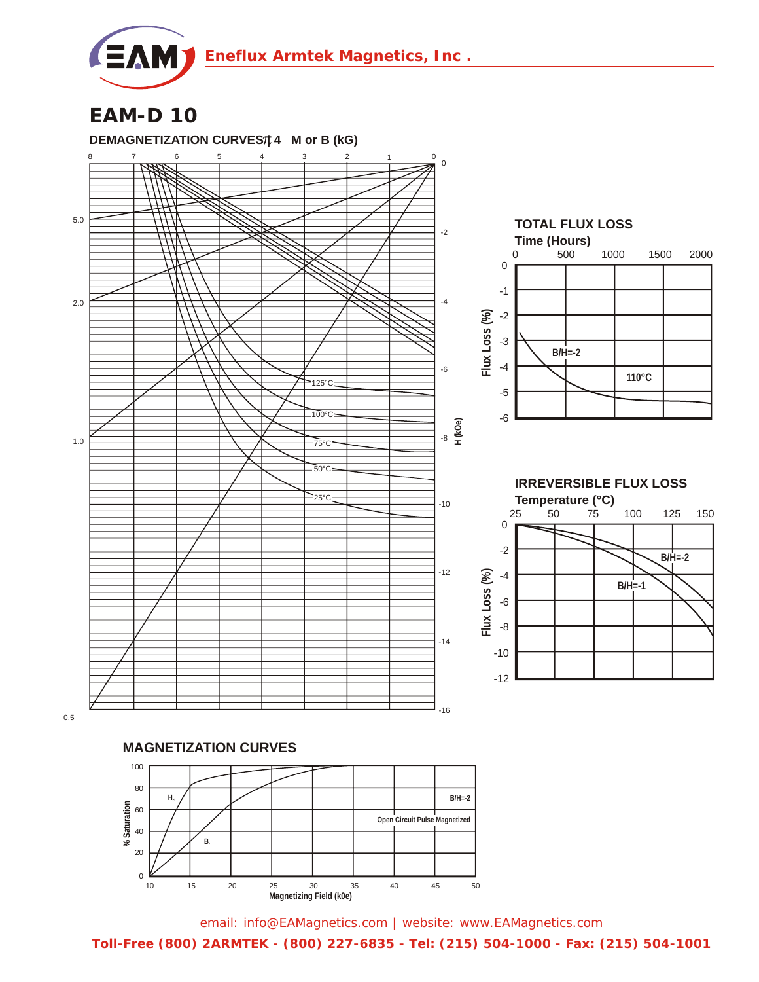

**EAM-D 10**



email: info@EAMagnetics.com | website: www.EAMagnetics.com **Toll-Free (800) 2ARMTEK - (800) 227-6835 - Tel: (215) 504-1000 - Fax: (215) 504-1001**